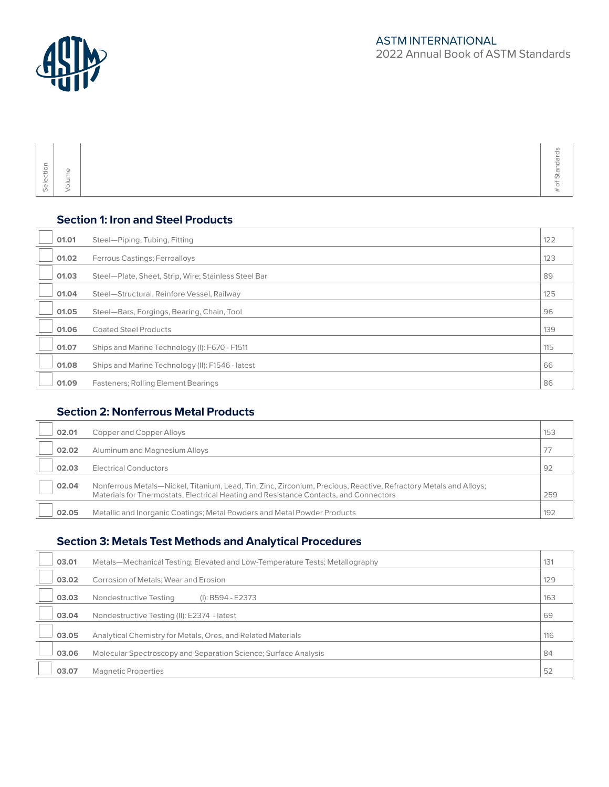

| $\sim$<br><b>100</b><br>$\checkmark$<br>w<br>$\sim$<br>$\overline{\phantom{m}}$<br>-<br>$\overline{\phantom{a}}$<br>Ψ<br>$\overline{\phantom{a}}$<br>$-$<br>Ψ<br>$\omega$ |  |  |
|---------------------------------------------------------------------------------------------------------------------------------------------------------------------------|--|--|
|---------------------------------------------------------------------------------------------------------------------------------------------------------------------------|--|--|

### **Section 1: Iron and Steel Products**

| 01.01 | Steel-Piping, Tubing, Fitting                        | 122 |
|-------|------------------------------------------------------|-----|
| 01.02 | Ferrous Castings; Ferroalloys                        | 123 |
| 01.03 | Steel-Plate, Sheet, Strip, Wire; Stainless Steel Bar | 89  |
| 01.04 | Steel-Structural, Reinfore Vessel, Railway           | 125 |
| 01.05 | Steel-Bars, Forgings, Bearing, Chain, Tool           | 96  |
| 01.06 | <b>Coated Steel Products</b>                         | 139 |
| 01.07 | Ships and Marine Technology (I): F670 - F1511        | 115 |
| 01.08 | Ships and Marine Technology (II): F1546 - latest     | 66  |
| 01.09 | <b>Fasteners: Rolling Element Bearings</b>           | 86  |

# **Section 2: Nonferrous Metal Products**

| 02.01 | Copper and Copper Alloys                                                                                                                                                                                   | 153 |
|-------|------------------------------------------------------------------------------------------------------------------------------------------------------------------------------------------------------------|-----|
| 02.02 | Aluminum and Magnesium Alloys                                                                                                                                                                              |     |
| 02.03 | <b>Electrical Conductors</b>                                                                                                                                                                               | 92  |
| 02.04 | Nonferrous Metals—Nickel, Titanium, Lead, Tin, Zinc, Zirconium, Precious, Reactive, Refractory Metals and Alloys;<br>Materials for Thermostats, Electrical Heating and Resistance Contacts, and Connectors | 259 |
| 02.05 | Metallic and Inorganic Coatings; Metal Powders and Metal Powder Products                                                                                                                                   | 192 |

#### **Section 3: Metals Test Methods and Analytical Procedures**

| 03.01 | Metals—Mechanical Testing; Elevated and Low-Temperature Tests; Metallography | 131 |
|-------|------------------------------------------------------------------------------|-----|
| 03.02 | Corrosion of Metals; Wear and Erosion                                        | 129 |
| 03.03 | (I): B594 - E2373<br>Nondestructive Testing                                  | 163 |
| 03.04 | Nondestructive Testing (II): E2374 - latest                                  | 69  |
| 03.05 | Analytical Chemistry for Metals, Ores, and Related Materials                 | 116 |
| 03.06 | Molecular Spectroscopy and Separation Science; Surface Analysis              | 84  |
| 03.07 | <b>Magnetic Properties</b>                                                   | 52  |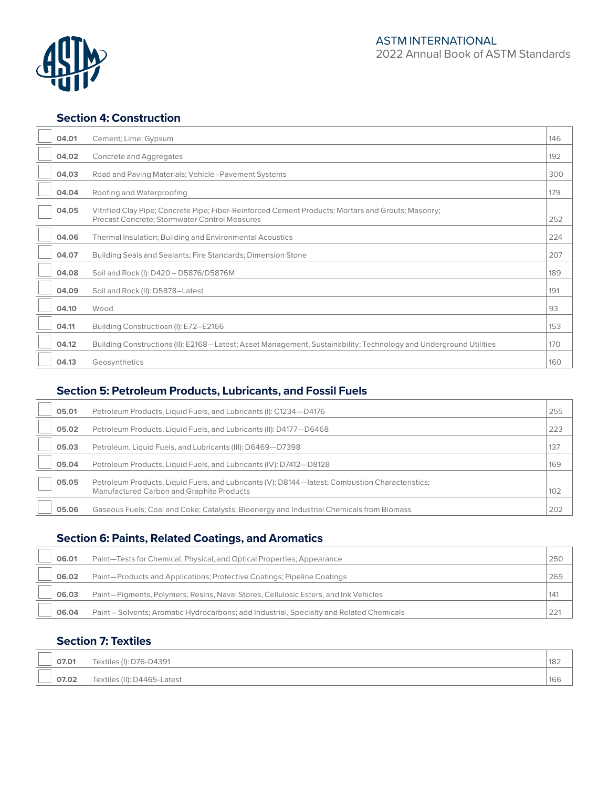

#### **Section 4: Construction**

| 04.01 | Cement; Lime; Gypsum                                                                                                                                       | 146 |
|-------|------------------------------------------------------------------------------------------------------------------------------------------------------------|-----|
| 04.02 | Concrete and Aggregates                                                                                                                                    | 192 |
| 04.03 | Road and Paving Materials; Vehicle-Pavement Systems                                                                                                        | 300 |
| 04.04 | Roofing and Waterproofing                                                                                                                                  | 179 |
| 04.05 | Vitrified Clay Pipe; Concrete Pipe; Fiber-Reinforced Cement Products; Mortars and Grouts; Masonry;<br><b>Precast Concrete: Stormwater Control Measures</b> | 252 |
| 04.06 | Thermal Insulation; Building and Environmental Acoustics                                                                                                   | 224 |
| 04.07 | Building Seals and Sealants; Fire Standards; Dimension Stone                                                                                               | 207 |
| 04.08 | Soil and Rock (I): D420 - D5876/D5876M                                                                                                                     | 189 |
| 04.09 | Soil and Rock (II): D5878-Latest                                                                                                                           | 191 |
| 04.10 | Wood                                                                                                                                                       | 93  |
| 04.11 | Building Constructiosn (I): E72-E2166                                                                                                                      | 153 |
| 04.12 | Building Constructions (II): E2168—Latest; Asset Management, Sustainability; Technology and Underground Utilities                                          | 170 |
| 04.13 | Geosynthetics                                                                                                                                              | 160 |

# **Section 5: Petroleum Products, Lubricants, and Fossil Fuels**

| 05.01 | Petroleum Products, Liquid Fuels, and Lubricants (I): C1234-D4176                                                                            | 255 |
|-------|----------------------------------------------------------------------------------------------------------------------------------------------|-----|
| 05.02 | Petroleum Products, Liquid Fuels, and Lubricants (II): D4177-D6468                                                                           | 223 |
| 05.03 | Petroleum, Liquid Fuels, and Lubricants (III): D6469-D7398                                                                                   | 137 |
| 05.04 | Petroleum Products, Liquid Fuels, and Lubricants (IV): D7412-D8128                                                                           | 169 |
| 05.05 | Petroleum Products, Liquid Fuels, and Lubricants (V): D8144—latest; Combustion Characteristics;<br>Manufactured Carbon and Graphite Products | 102 |
| 05.06 | Gaseous Fuels; Coal and Coke; Catalysts; Bioenergy and Industrial Chemicals from Biomass                                                     | 202 |

# **Section 6: Paints, Related Coatings, and Aromatics**

| 06.01 | Paint—Tests for Chemical, Physical, and Optical Properties; Appearance                   | 250 |
|-------|------------------------------------------------------------------------------------------|-----|
| 06.02 | Paint—Products and Applications; Protective Coatings; Pipeline Coatings                  | 269 |
| 06.03 | Paint—Pigments, Polymers, Resins, Naval Stores, Cellulosic Esters, and Ink Vehicles      | 141 |
| 06.04 | Paint – Solvents; Aromatic Hydrocarbons; add Industrial, Specialty and Related Chemicals | 221 |

### **Section 7: Textiles**

| 07.01 | Textiles (I): D76-D4391     | 182 |
|-------|-----------------------------|-----|
| 07.02 | Textiles (II): D4465-Latest | 166 |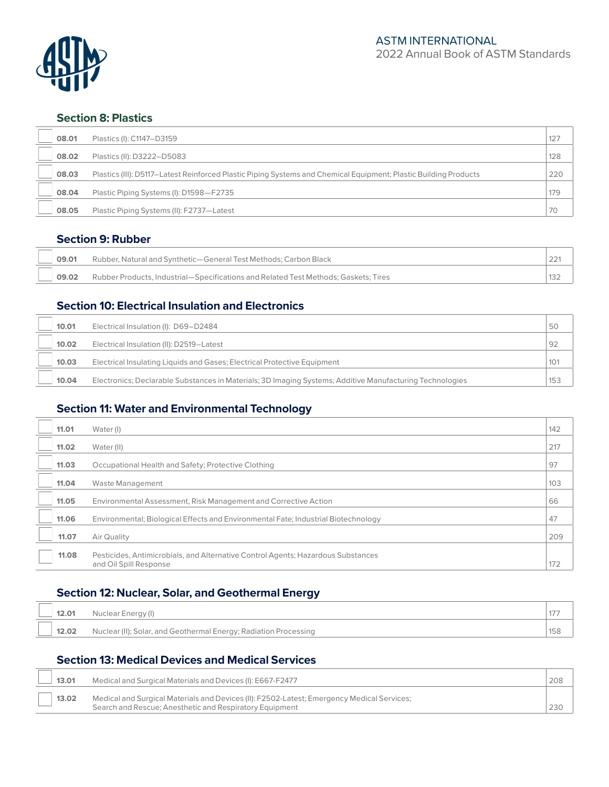

#### **Section 8: Plastics**

| 08.01 | Plastics (I): C1147-D3159                                                                                        | 127 |
|-------|------------------------------------------------------------------------------------------------------------------|-----|
| 08.02 | Plastics (II): D3222-D5083                                                                                       | 128 |
| 08.03 | Plastics (III): D5117-Latest Reinforced Plastic Piping Systems and Chemical Equipment; Plastic Building Products | 220 |
| 08.04 | Plastic Piping Systems (I): D1598-F2735                                                                          | 179 |
| 08.05 | Plastic Piping Systems (II): F2737-Latest                                                                        | 70  |

#### **Section 9: Rubber**

| 09.01 | Rubber, Natural and Synthetic—General Test Methods: Carbon Black                    |  |
|-------|-------------------------------------------------------------------------------------|--|
| 09.02 | Rubber Products, Industrial—Specifications and Related Test Methods; Gaskets; Tires |  |

### **Section 10: Electrical Insulation and Electronics**

| 10.01 | Electrical Insulation (I): D69-D2484                                                                     | 50  |
|-------|----------------------------------------------------------------------------------------------------------|-----|
| 10.02 | Electrical Insulation (II): D2519-Latest                                                                 | 92  |
| 10.03 | Electrical Insulating Liquids and Gases; Electrical Protective Equipment                                 | 101 |
| 10.04 | Electronics; Declarable Substances in Materials; 3D Imaging Systems; Additive Manufacturing Technologies | 153 |

### **Section 11: Water and Environmental Technology**

| 11.01 | Water (I)                                                                                                  | 142 |
|-------|------------------------------------------------------------------------------------------------------------|-----|
| 11.02 | Water (II)                                                                                                 | 217 |
| 11.03 | Occupational Health and Safety; Protective Clothing                                                        | 97  |
| 11.04 | Waste Management                                                                                           | 103 |
| 11.05 | Environmental Assessment, Risk Management and Corrective Action                                            | 66  |
| 11.06 | Environmental; Biological Effects and Environmental Fate; Industrial Biotechnology                         | 47  |
| 11.07 | Air Quality                                                                                                | 209 |
| 11.08 | Pesticides, Antimicrobials, and Alternative Control Agents; Hazardous Substances<br>and Oil Spill Response | 172 |

# **Section 12: Nuclear, Solar, and Geothermal Energy**

| 12.01 | Nuclear Energy (I)                                               |     |
|-------|------------------------------------------------------------------|-----|
| 12.02 | Nuclear (II); Solar, and Geothermal Energy; Radiation Processing | 158 |

# **Section 13: Medical Devices and Medical Services**

| 13.01 | Medical and Surgical Materials and Devices (I): E667-F2477                                                                                            | 208 |
|-------|-------------------------------------------------------------------------------------------------------------------------------------------------------|-----|
| 13.02 | Medical and Surgical Materials and Devices (II): F2502-Latest; Emergency Medical Services;<br>Search and Rescue; Anesthetic and Respiratory Equipment |     |